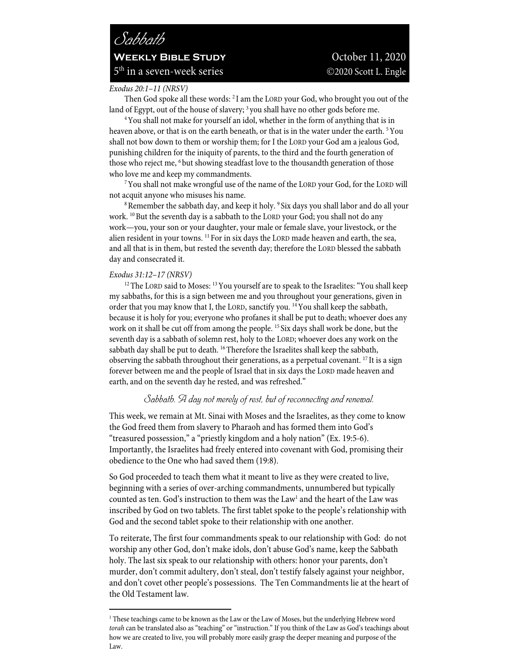# *Sabbath* **WEEKLY BIBLE STUDY** October 11, 2020  $5<sup>th</sup>$  in a seven-week series  $\odot$ 2020 Scott L. Engle

#### *Exodus 20:1–11 (NRSV)*

Then God spoke all these words: <sup>2</sup>I am the LORD your God, who brought you out of the land of Egypt, out of the house of slavery; <sup>3</sup> you shall have no other gods before me.<br><sup>4</sup> You shall not make for yourself an idol, whether in the form of anything that is in

heaven above, or that is on the earth beneath, or that is in the water under the earth. <sup>5</sup>You shall not bow down to them or worship them; for I the LORD your God am a jealous God, punishing children for the iniquity of parents, to the third and the fourth generation of those who reject me, <sup>6</sup> but showing steadfast love to the thousandth generation of those

who love me and keep my commandments. 7You shall not make wrongful use of the name of the LORD your God, for the LORD will not acquit anyone who misuses his name.<br><sup>8</sup>Remember the sabbath day, and keep it holy. <sup>9</sup> Six days you shall labor and do all your

work.  $^{10}$  But the seventh day is a sabbath to the LORD your God; you shall not do any work—you, your son or your daughter, your male or female slave, your livestock, or the alien resident in your towns. 11 For in six days the LORD made heaven and earth, the sea, and all that is in them, but rested the seventh day; therefore the LORD blessed the sabbath day and consecrated it.

#### *Exodus 31:12–17 (NRSV)*

<sup>12</sup> The LORD said to Moses: <sup>13</sup> You yourself are to speak to the Israelites: "You shall keep my sabbaths, for this is a sign between me and you throughout your generations, given in order that you may know that I, the LORD, sanctify you. 14You shall keep the sabbath, because it is holy for you; everyone who profanes it shall be put to death; whoever does any work on it shall be cut off from among the people. 15 Six days shall work be done, but the seventh day is a sabbath of solemn rest, holy to the LORD; whoever does any work on the sabbath day shall be put to death. <sup>16</sup> Therefore the Israelites shall keep the sabbath, observing the sabbath throughout their generations, as a perpetual covenant. 17 It is a sign forever between me and the people of Israel that in six days the LORD made heaven and earth, and on the seventh day he rested, and was refreshed."

# *Sabbath. A day not merely of rest, but of reconnecting and renewal.*

This week, we remain at Mt. Sinai with Moses and the Israelites, as they come to know the God freed them from slavery to Pharaoh and has formed them into God's "treasured possession," a "priestly kingdom and a holy nation" (Ex. 19:5-6). Importantly, the Israelites had freely entered into covenant with God, promising their obedience to the One who had saved them (19:8).

So God proceeded to teach them what it meant to live as they were created to live, beginning with a series of over-arching commandments, unnumbered but typically counted as ten. God's instruction to them was the Law<sup>1</sup> and the heart of the Law was inscribed by God on two tablets. The first tablet spoke to the people's relationship with God and the second tablet spoke to their relationship with one another.

To reiterate, The first four commandments speak to our relationship with God: do not worship any other God, don't make idols, don't abuse God's name, keep the Sabbath holy. The last six speak to our relationship with others: honor your parents, don't murder, don't commit adultery, don't steal, don't testify falsely against your neighbor, and don't covet other people's possessions. The Ten Commandments lie at the heart of the Old Testament law.

<sup>&</sup>lt;sup>1</sup> These teachings came to be known as the Law or the Law of Moses, but the underlying Hebrew word *torah* can be translated also as "teaching" or "instruction." If you think of the Law as God's teachings about how we are created to live, you will probably more easily grasp the deeper meaning and purpose of the Law.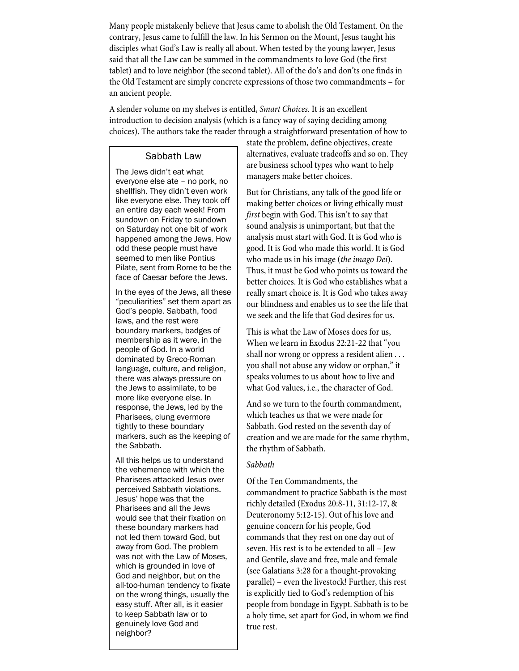Many people mistakenly believe that Jesus came to abolish the Old Testament. On the contrary, Jesus came to fulfill the law. In his Sermon on the Mount, Jesus taught his disciples what God's Law is really all about. When tested by the young lawyer, Jesus said that all the Law can be summed in the commandments to love God (the first tablet) and to love neighbor (the second tablet). All of the do's and don'ts one finds in the Old Testament are simply concrete expressions of those two commandments – for an ancient people.

A slender volume on my shelves is entitled, *Smart Choices*. It is an excellent introduction to decision analysis (which is a fancy way of saying deciding among choices). The authors take the reader through a straightforward presentation of how to

## Sabbath Law

The Jews didn't eat what everyone else ate – no pork, no shellfish. They didn't even work like everyone else. They took off an entire day each week! From sundown on Friday to sundown on Saturday not one bit of work happened among the Jews. How odd these people must have seemed to men like Pontius Pilate, sent from Rome to be the face of Caesar before the Jews.

In the eyes of the Jews, all these "peculiarities" set them apart as God's people. Sabbath, food laws, and the rest were boundary markers, badges of membership as it were, in the people of God. In a world dominated by Greco-Roman language, culture, and religion, there was always pressure on the Jews to assimilate, to be more like everyone else. In response, the Jews, led by the Pharisees, clung evermore tightly to these boundary markers, such as the keeping of the Sabbath.

All this helps us to understand the vehemence with which the Pharisees attacked Jesus over perceived Sabbath violations. Jesus' hope was that the Pharisees and all the Jews would see that their fixation on these boundary markers had not led them toward God, but away from God. The problem was not with the Law of Moses, which is grounded in love of God and neighbor, but on the all-too-human tendency to fixate on the wrong things, usually the easy stuff. After all, is it easier to keep Sabbath law or to genuinely love God and neighbor?

state the problem, define objectives, create alternatives, evaluate tradeoffs and so on. They are business school types who want to help managers make better choices.

But for Christians, any talk of the good life or making better choices or living ethically must *first* begin with God. This isn't to say that sound analysis is unimportant, but that the analysis must start with God. It is God who is good. It is God who made this world. It is God who made us in his image (*the imago Dei*). Thus, it must be God who points us toward the better choices. It is God who establishes what a really smart choice is. It is God who takes away our blindness and enables us to see the life that we seek and the life that God desires for us.

This is what the Law of Moses does for us, When we learn in Exodus 22:21-22 that "you shall nor wrong or oppress a resident alien . . . you shall not abuse any widow or orphan," it speaks volumes to us about how to live and what God values, i.e., the character of God.

And so we turn to the fourth commandment, which teaches us that we were made for Sabbath. God rested on the seventh day of creation and we are made for the same rhythm, the rhythm of Sabbath.

#### *Sabbath*

Of the Ten Commandments, the commandment to practice Sabbath is the most richly detailed (Exodus 20:8-11, 31:12-17, & Deuteronomy 5:12-15). Out of his love and genuine concern for his people, God commands that they rest on one day out of seven. His rest is to be extended to all – Jew and Gentile, slave and free, male and female (see Galatians 3:28 for a thought-provoking parallel) – even the livestock! Further, this rest is explicitly tied to God's redemption of his people from bondage in Egypt. Sabbath is to be a holy time, set apart for God, in whom we find true rest.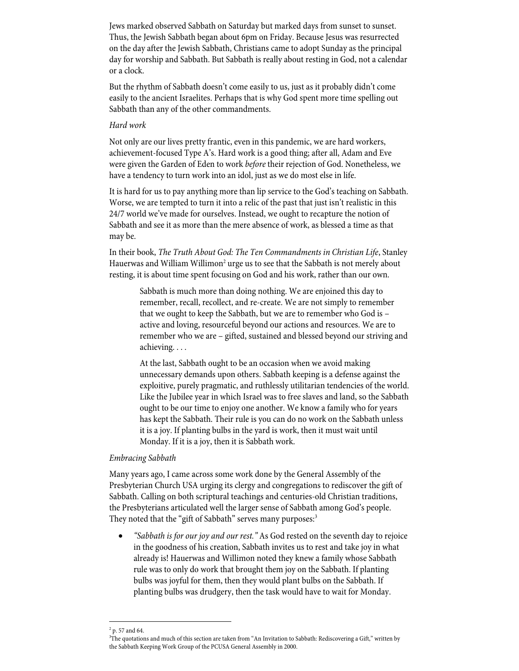Jews marked observed Sabbath on Saturday but marked days from sunset to sunset. Thus, the Jewish Sabbath began about 6pm on Friday. Because Jesus was resurrected on the day after the Jewish Sabbath, Christians came to adopt Sunday as the principal day for worship and Sabbath. But Sabbath is really about resting in God, not a calendar or a clock.

But the rhythm of Sabbath doesn't come easily to us, just as it probably didn't come easily to the ancient Israelites. Perhaps that is why God spent more time spelling out Sabbath than any of the other commandments.

#### *Hard work*

Not only are our lives pretty frantic, even in this pandemic, we are hard workers, achievement-focused Type A's. Hard work is a good thing; after all, Adam and Eve were given the Garden of Eden to work *before* their rejection of God. Nonetheless, we have a tendency to turn work into an idol, just as we do most else in life.

It is hard for us to pay anything more than lip service to the God's teaching on Sabbath. Worse, we are tempted to turn it into a relic of the past that just isn't realistic in this 24/7 world we've made for ourselves. Instead, we ought to recapture the notion of Sabbath and see it as more than the mere absence of work, as blessed a time as that may be.

In their book, *The Truth About God: The Ten Commandments in Christian Life*, Stanley Hauerwas and William Willimon<sup>2</sup> urge us to see that the Sabbath is not merely about resting, it is about time spent focusing on God and his work, rather than our own.

> Sabbath is much more than doing nothing. We are enjoined this day to remember, recall, recollect, and re-create. We are not simply to remember that we ought to keep the Sabbath, but we are to remember who God is – active and loving, resourceful beyond our actions and resources. We are to remember who we are – gifted, sustained and blessed beyond our striving and achieving. . . .

> At the last, Sabbath ought to be an occasion when we avoid making unnecessary demands upon others. Sabbath keeping is a defense against the exploitive, purely pragmatic, and ruthlessly utilitarian tendencies of the world. Like the Jubilee year in which Israel was to free slaves and land, so the Sabbath ought to be our time to enjoy one another. We know a family who for years has kept the Sabbath. Their rule is you can do no work on the Sabbath unless it is a joy. If planting bulbs in the yard is work, then it must wait until Monday. If it is a joy, then it is Sabbath work.

## *Embracing Sabbath*

Many years ago, I came across some work done by the General Assembly of the Presbyterian Church USA urging its clergy and congregations to rediscover the gift of Sabbath. Calling on both scriptural teachings and centuries-old Christian traditions, the Presbyterians articulated well the larger sense of Sabbath among God's people. They noted that the "gift of Sabbath" serves many purposes:<sup>3</sup>

• *"Sabbath is for our joy and our rest."* As God rested on the seventh day to rejoice in the goodness of his creation, Sabbath invites us to rest and take joy in what already is! Hauerwas and Willimon noted they knew a family whose Sabbath rule was to only do work that brought them joy on the Sabbath. If planting bulbs was joyful for them, then they would plant bulbs on the Sabbath. If planting bulbs was drudgery, then the task would have to wait for Monday.

 $^{2}$  p. 57 and 64.

<sup>3</sup> The quotations and much of this section are taken from "An Invitation to Sabbath: Rediscovering a Gift," written by the Sabbath Keeping Work Group of the PCUSA General Assembly in 2000.